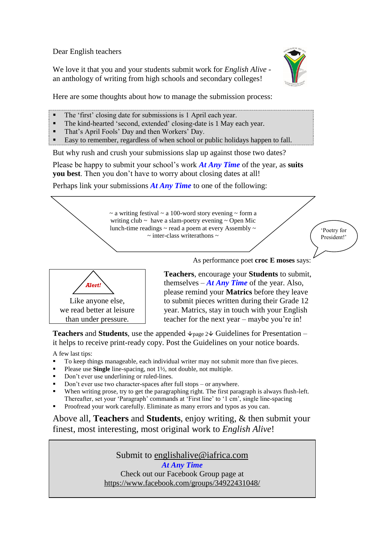Dear English teachers

We love it that you and your students submit work for *English Alive* an anthology of writing from high schools and secondary colleges!



Here are some thoughts about how to manage the submission process:

- The 'first' closing date for submissions is 1 April each year.
- The kind-hearted 'second, extended' closing-date is 1 May each year.
- That's April Fools' Day and then Workers' Day.
- Easy to remember, regardless of when school or public holidays happen to fall.

But why rush and crush your submissions slap up against those two dates?

Please be happy to submit your school's work *At Any Time* of the year, as **suits you best**. Then you don't have to worry about closing dates at all!

Perhaps link your submissions *At Any Time* to one of the following:

 $\sim$  a writing festival  $\sim$  a 100-word story evening  $\sim$  form a writing club  $\sim$  have a slam-poetry evening  $\sim$  Open Mic lunch-time readings  $\sim$  read a poem at every Assembly  $\sim$  $\sim$  inter-class writerathons  $\sim$ 

'Poetry for President!'



As performance poet **croc E moses** says:

**Teachers**, encourage your **Students** to submit, themselves – *At Any Time* of the year. Also, please remind your **Matrics** before they leave to submit pieces written during their Grade 12 year. Matrics, stay in touch with your English teacher for the next year – maybe you're in!

**Teachers** and **Students**, use the appended  $\forall$  page 2 $\forall$  Guidelines for Presentation – it helps to receive print-ready copy. Post the Guidelines on your notice boards.

A few last tips:

- To keep things manageable, each individual writer may not submit more than five pieces.
- Please use **Single** line-spacing, not 1½, not double, not multiple.
- Don't ever use underlining or ruled-lines.
- Don't ever use two character-spaces after full stops or anywhere.
- When writing prose, try to get the paragraphing right. The first paragraph is always flush-left. Thereafter, set your 'Paragraph' commands at 'First line' to '1 cm', single line-spacing
- Proofread your work carefully. Eliminate as many errors and typos as you can.

Above all, **Teachers** and **Students**, enjoy writing, & then submit your finest, most interesting, most original work to *English Alive*!

Submit to [englishalive@iafrica.com](mailto:englishalive@iafrica.com)

*At Any Time* Check out our Facebook Group page at <https://www.facebook.com/groups/34922431048/>